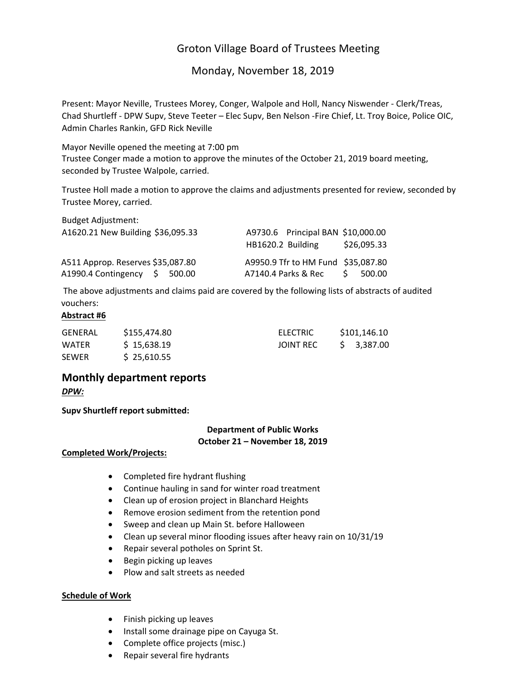# Groton Village Board of Trustees Meeting

# Monday, November 18, 2019

Present: Mayor Neville, Trustees Morey, Conger, Walpole and Holl, Nancy Niswender ‐ Clerk/Treas, Chad Shurtleff ‐ DPW Supv, Steve Teeter – Elec Supv, Ben Nelson ‐Fire Chief, Lt. Troy Boice, Police OIC, Admin Charles Rankin, GFD Rick Neville

Mayor Neville opened the meeting at 7:00 pm Trustee Conger made a motion to approve the minutes of the October 21, 2019 board meeting, seconded by Trustee Walpole, carried.

Trustee Holl made a motion to approve the claims and adjustments presented for review, seconded by Trustee Morey, carried.

| <b>Budget Adjustment:</b><br>A1620.21 New Building \$36,095.33        | A9730.6 Principal BAN \$10,000.00<br>HB1620.2 Building                    | \$26,095.33 |
|-----------------------------------------------------------------------|---------------------------------------------------------------------------|-------------|
| A511 Approp. Reserves \$35,087.80<br>A1990.4 Contingency \$<br>500.00 | A9950.9 Tfr to HM Fund \$35,087.80<br>$A7140.4$ Parks & Rec $\frac{1}{5}$ | 500.00      |

The above adjustments and claims paid are covered by the following lists of abstracts of audited vouchers:

# **Abstract #6**

| GENERAL      | S155.474.80 | ELECTRIC  | \$101.146.10 |
|--------------|-------------|-----------|--------------|
| <b>WATER</b> | \$15,638.19 | JOINT REC | \$ 3.387.00  |
| <b>SEWER</b> | \$25,610.55 |           |              |

# **Monthly department reports** *DPW:*

**Supv Shurtleff report submitted:**

# **Department of Public Works October 21 – November 18, 2019**

# **Completed Work/Projects:**

- Completed fire hydrant flushing
- Continue hauling in sand for winter road treatment
- Clean up of erosion project in Blanchard Heights
- Remove erosion sediment from the retention pond
- Sweep and clean up Main St. before Halloween
- Clean up several minor flooding issues after heavy rain on 10/31/19
- Repair several potholes on Sprint St.
- Begin picking up leaves
- Plow and salt streets as needed

# **Schedule of Work**

- Finish picking up leaves
- Install some drainage pipe on Cayuga St.
- Complete office projects (misc.)
- Repair several fire hydrants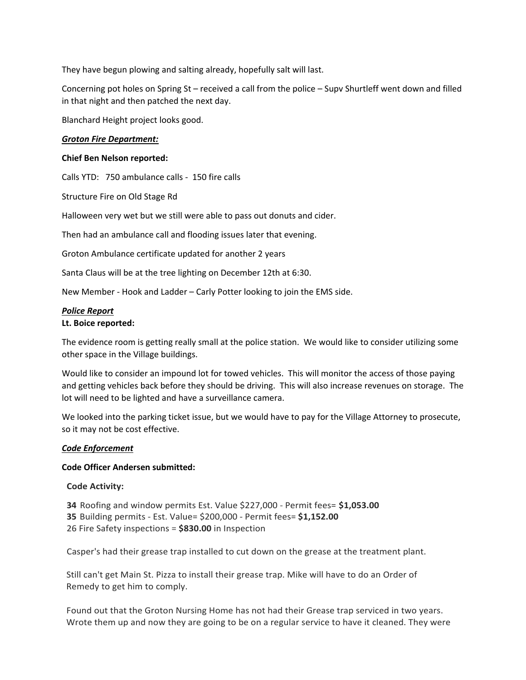They have begun plowing and salting already, hopefully salt will last.

Concerning pot holes on Spring St – received a call from the police – Supv Shurtleff went down and filled in that night and then patched the next day.

Blanchard Height project looks good.

## *Groton Fire Department:*

### **Chief Ben Nelson reported:**

Calls YTD: 750 ambulance calls ‐ 150 fire calls

Structure Fire on Old Stage Rd

Halloween very wet but we still were able to pass out donuts and cider.

Then had an ambulance call and flooding issues later that evening.

Groton Ambulance certificate updated for another 2 years

Santa Claus will be at the tree lighting on December 12th at 6:30.

New Member ‐ Hook and Ladder – Carly Potter looking to join the EMS side.

#### *Police Report*

#### **Lt. Boice reported:**

The evidence room is getting really small at the police station. We would like to consider utilizing some other space in the Village buildings.

Would like to consider an impound lot for towed vehicles. This will monitor the access of those paying and getting vehicles back before they should be driving. This will also increase revenues on storage. The lot will need to be lighted and have a surveillance camera.

We looked into the parking ticket issue, but we would have to pay for the Village Attorney to prosecute, so it may not be cost effective.

# *Code Enforcement*

#### **Code Officer Andersen submitted:**

#### **Code Activity:**

**34** Roofing and window permits Est. Value \$227,000 ‐ Permit fees= **\$1,053.00 35** Building permits ‐ Est. Value= \$200,000 ‐ Permit fees= **\$1,152.00** 26 Fire Safety inspections = **\$830.00** in Inspection

Casper's had their grease trap installed to cut down on the grease at the treatment plant.

Still can't get Main St. Pizza to install their grease trap. Mike will have to do an Order of Remedy to get him to comply.

Found out that the Groton Nursing Home has not had their Grease trap serviced in two years. Wrote them up and now they are going to be on a regular service to have it cleaned. They were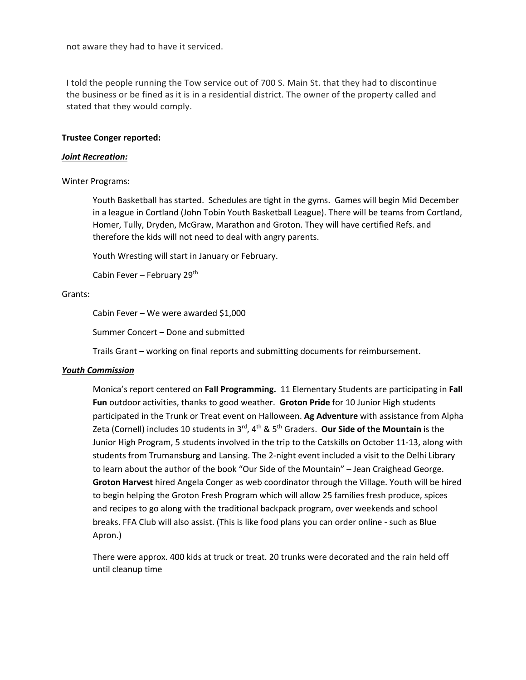not aware they had to have it serviced.

I told the people running the Tow service out of 700 S. Main St. that they had to discontinue the business or be fined as it is in a residential district. The owner of the property called and stated that they would comply.

#### **Trustee Conger reported:**

#### *Joint Recreation:*

#### Winter Programs:

Youth Basketball has started. Schedules are tight in the gyms. Games will begin Mid December in a league in Cortland (John Tobin Youth Basketball League). There will be teams from Cortland, Homer, Tully, Dryden, McGraw, Marathon and Groton. They will have certified Refs. and therefore the kids will not need to deal with angry parents.

Youth Wresting will start in January or February.

Cabin Fever – February 29th

#### Grants:

Cabin Fever – We were awarded \$1,000

Summer Concert – Done and submitted

Trails Grant – working on final reports and submitting documents for reimbursement.

#### *Youth Commission*

Monica's report centered on **Fall Programming.** 11 Elementary Students are participating in **Fall Fun** outdoor activities, thanks to good weather. **Groton Pride** for 10 Junior High students participated in the Trunk or Treat event on Halloween. **Ag Adventure** with assistance from Alpha Zeta (Cornell) includes 10 students in 3rd, 4th & 5th Graders. **Our Side of the Mountain** is the Junior High Program, 5 students involved in the trip to the Catskills on October 11‐13, along with students from Trumansburg and Lansing. The 2‐night event included a visit to the Delhi Library to learn about the author of the book "Our Side of the Mountain" – Jean Craighead George. **Groton Harvest** hired Angela Conger as web coordinator through the Village. Youth will be hired to begin helping the Groton Fresh Program which will allow 25 families fresh produce, spices and recipes to go along with the traditional backpack program, over weekends and school breaks. FFA Club will also assist. (This is like food plans you can order online ‐ such as Blue Apron.)

There were approx. 400 kids at truck or treat. 20 trunks were decorated and the rain held off until cleanup time